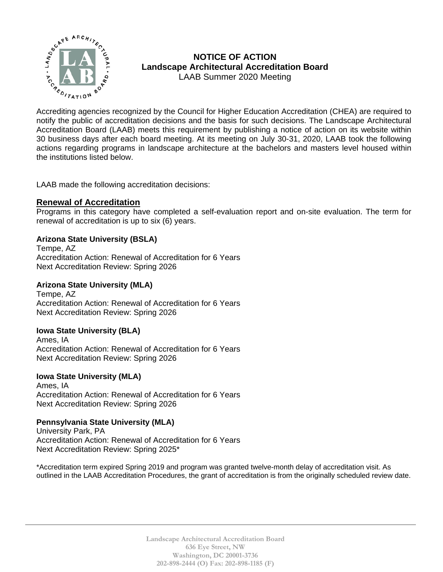

## **NOTICE OF ACTION Landscape Architectural Accreditation Board**  LAAB Summer 2020 Meeting

 $\sum_{\substack{P_{\epsilon_{\beta}} \\ P_{\epsilon_{\beta}}} \neq 0}}^{\infty}$  . LAND USING  $\sum_{P_{\epsilon_{\beta}}}$  . LAND USING  $\sum_{P_{\epsilon_{\beta}}}$ notify the public of accreditation decisions and the basis for such decisions. The Landscape Architectural Accreditation Board (LAAB) meets this requirement by publishing a notice of action on its website within 30 business days after each board meeting. At its meeting on July 30-31, 2020, LAAB took the following actions regarding programs in landscape architecture at the bachelors and masters level housed within the institutions listed below.

LAAB made the following accreditation decisions:

## **Renewal of Accreditation**

Programs in this category have completed a self-evaluation report and on-site evaluation. The term for renewal of accreditation is up to six (6) years.

# **Arizona State University (BSLA)**

Tempe, AZ Accreditation Action: Renewal of Accreditation for 6 Years Next Accreditation Review: Spring 2026

#### **Arizona State University (MLA)**

Tempe, AZ Accreditation Action: Renewal of Accreditation for 6 Years Next Accreditation Review: Spring 2026

## **Iowa State University (BLA)**

Ames, IA Accreditation Action: Renewal of Accreditation for 6 Years Next Accreditation Review: Spring 2026

#### **Iowa State University (MLA)**

Ames, IA Accreditation Action: Renewal of Accreditation for 6 Years Next Accreditation Review: Spring 2026

## **Pennsylvania State University (MLA)**

University Park, PA Accreditation Action: Renewal of Accreditation for 6 Years Next Accreditation Review: Spring 2025\*

\*Accreditation term expired Spring 2019 and program was granted twelve-month delay of accreditation visit. As outlined in the LAAB Accreditation Procedures, the grant of accreditation is from the originally scheduled review date.

> **Landscape Architectural Accreditation Board 636 Eye Street, NW Washington, DC 20001-3736 202-898-2444 (O) Fax: 202-898-1185 (F)**